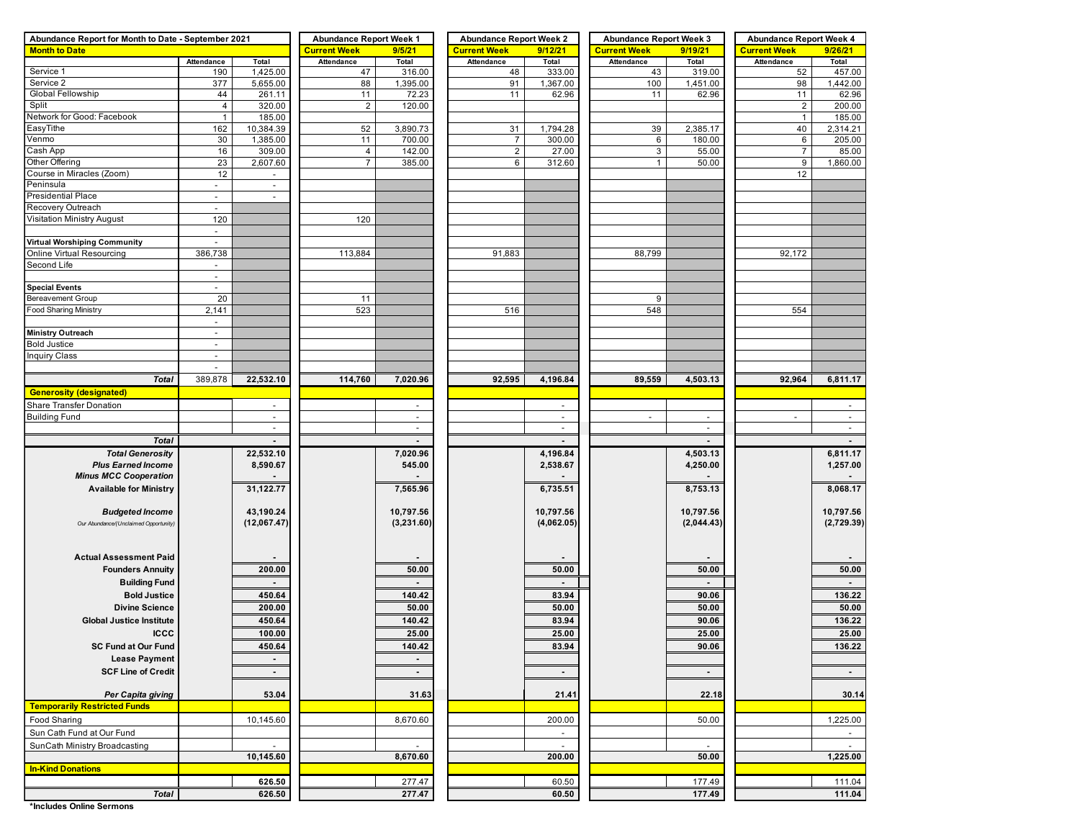| Abundance Report for Month to Date - September 2021 |                          | <b>Abundance Report Week 1</b> |                               | <b>Abundance Report Week 2</b> |                     | <b>Abundance Report Week 3</b> |                     | <b>Abundance Report Week 4</b> |                                |                |  |
|-----------------------------------------------------|--------------------------|--------------------------------|-------------------------------|--------------------------------|---------------------|--------------------------------|---------------------|--------------------------------|--------------------------------|----------------|--|
| <b>Month to Date</b>                                |                          |                                | <b>Current Week</b><br>9/5/21 |                                | <b>Current Week</b> | 9/12/21                        | <b>Current Week</b> | 9/19/21                        | <b>Current Week</b><br>9/26/21 |                |  |
|                                                     | Attendance               | Total                          | Attendance                    | Total                          | Attendance          | Total                          | Attendance          | Total                          | Attendance                     | Total          |  |
| Service 1                                           | 190                      | 1,425.00                       | 47                            | 316.00                         | 48                  | 333.00                         | 43                  | 319.00                         | 52                             | 457.00         |  |
| Service 2                                           | 377                      | 5,655.00                       | 88                            | 1,395.00                       | 91                  | 1,367.00                       | 100                 | 1,451.00                       | 98                             | 1,442.00       |  |
| Global Fellowship                                   | 44                       | 261.11                         | 11                            | 72.23                          | 11                  | 62.96                          | 11                  | 62.96                          | 11                             | 62.96          |  |
| Split                                               | $\overline{4}$           | 320.00                         | $\overline{2}$                | 120.00                         |                     |                                |                     |                                | $\overline{2}$                 | 200.00         |  |
| Network for Good: Facebook                          | $\mathbf{1}$             | 185.00                         |                               |                                |                     |                                |                     |                                | $\mathbf{1}$                   | 185.00         |  |
| EasyTithe                                           | 162                      | 10,384.39                      | 52                            | 3,890.73                       | 31                  | 1,794.28                       | 39                  | 2,385.17                       | 40                             | 2,314.21       |  |
| Venmo                                               | 30                       | 1,385.00                       | 11                            | 700.00                         | $\overline{7}$      | 300.00                         | 6                   | 180.00                         | 6                              | 205.00         |  |
| Cash App                                            | 16                       | 309.00                         | $\overline{4}$                | 142.00                         | $\overline{2}$      | 27.00                          | 3                   | 55.00                          | $\overline{7}$                 | 85.00          |  |
| Other Offering                                      | 23                       | 2,607.60                       | $\overline{7}$                | 385.00                         | 6                   | 312.60                         | $\mathbf{1}$        | 50.00                          | 9                              | 1,860.00       |  |
| Course in Miracles (Zoom)                           | 12                       | $\blacksquare$                 |                               |                                |                     |                                |                     |                                | 12                             |                |  |
| Peninsula                                           | $\overline{\phantom{a}}$ | $\sim$                         |                               |                                |                     |                                |                     |                                |                                |                |  |
| <b>Presidential Place</b>                           | $\overline{\phantom{a}}$ | $\sim$                         |                               |                                |                     |                                |                     |                                |                                |                |  |
| Recovery Outreach                                   | $\omega$                 |                                |                               |                                |                     |                                |                     |                                |                                |                |  |
| Visitation Ministry August                          | 120                      |                                | 120                           |                                |                     |                                |                     |                                |                                |                |  |
|                                                     | $\overline{\phantom{a}}$ |                                |                               |                                |                     |                                |                     |                                |                                |                |  |
| <b>Virtual Worshiping Community</b>                 | $\sim$                   |                                |                               |                                |                     |                                |                     |                                |                                |                |  |
| Online Virtual Resourcing                           | 386,738                  |                                | 113,884                       |                                | 91,883              |                                | 88,799              |                                | 92,172                         |                |  |
| Second Life                                         | $\blacksquare$           |                                |                               |                                |                     |                                |                     |                                |                                |                |  |
|                                                     | $\overline{\phantom{a}}$ |                                |                               |                                |                     |                                |                     |                                |                                |                |  |
| <b>Special Events</b>                               | $\blacksquare$           |                                |                               |                                |                     |                                |                     |                                |                                |                |  |
| Bereavement Group                                   | 20                       |                                | 11                            |                                |                     |                                | 9                   |                                |                                |                |  |
| <b>Food Sharing Ministry</b>                        | 2,141                    |                                | 523                           |                                | 516                 |                                | 548                 |                                | 554                            |                |  |
|                                                     | $\blacksquare$           |                                |                               |                                |                     |                                |                     |                                |                                |                |  |
| <b>Ministry Outreach</b>                            | $\overline{\phantom{a}}$ |                                |                               |                                |                     |                                |                     |                                |                                |                |  |
| <b>Bold Justice</b>                                 | $\overline{\phantom{a}}$ |                                |                               |                                |                     |                                |                     |                                |                                |                |  |
| <b>Inquiry Class</b>                                | $\overline{\phantom{a}}$ |                                |                               |                                |                     |                                |                     |                                |                                |                |  |
|                                                     | $\overline{\phantom{a}}$ |                                |                               |                                |                     |                                |                     |                                |                                |                |  |
| <b>Total</b>                                        | 389,878                  | 22,532.10                      | 114,760                       | 7,020.96                       | 92,595              | 4,196.84                       | 89,559              | 4,503.13                       | 92,964                         | 6,811.17       |  |
| <b>Generosity (designated)</b>                      |                          |                                |                               |                                |                     |                                |                     |                                |                                |                |  |
| Share Transfer Donation                             |                          | $\overline{\phantom{a}}$       |                               | $\sim$                         |                     | $\overline{\phantom{a}}$       |                     |                                |                                |                |  |
| <b>Building Fund</b>                                |                          | $\omega$                       |                               | $\mathcal{L}_{\mathcal{A}}$    |                     | $\blacksquare$                 | $\blacksquare$      | $\blacksquare$                 | $\overline{a}$                 | $\mathcal{L}$  |  |
|                                                     |                          | $\sim$                         |                               | $\sim$                         |                     | $\blacksquare$                 |                     | $\sim$                         |                                | $\blacksquare$ |  |
| <b>Total</b>                                        |                          |                                |                               |                                |                     |                                |                     |                                |                                | $\blacksquare$ |  |
| <b>Total Generosity</b>                             |                          | 22,532.10                      |                               | 7,020.96                       |                     | 4,196.84                       |                     | 4,503.13                       |                                | 6,811.17       |  |
| <b>Plus Earned Income</b>                           |                          | 8,590.67                       |                               | 545.00                         |                     | 2,538.67                       |                     | 4,250.00                       |                                | 1,257.00       |  |
| <b>Minus MCC Cooperation</b>                        |                          |                                |                               |                                |                     |                                |                     |                                |                                | $\sim$         |  |
| <b>Available for Ministry</b>                       |                          | 31,122.77                      |                               | 7,565.96                       |                     | 6,735.51                       |                     | 8,753.13                       |                                | 8,068.17       |  |
|                                                     |                          |                                |                               |                                |                     |                                |                     |                                |                                |                |  |
| <b>Budgeted Income</b>                              |                          | 43,190.24                      |                               | 10,797.56                      |                     | 10,797.56                      |                     | 10,797.56                      |                                | 10,797.56      |  |
| Our Abundance/(Unclaimed Opportunity)               |                          | (12,067.47)                    |                               | (3,231.60)                     |                     | (4,062.05)                     |                     | (2,044.43)                     |                                | (2,729.39)     |  |
|                                                     |                          |                                |                               |                                |                     |                                |                     |                                |                                |                |  |
|                                                     |                          |                                |                               |                                |                     |                                |                     |                                |                                |                |  |
| <b>Actual Assessment Paid</b>                       |                          |                                |                               |                                |                     |                                |                     |                                |                                |                |  |
| <b>Founders Annuity</b>                             |                          | 200.00                         |                               | 50.00                          |                     | 50.00                          |                     | 50.00                          |                                | 50.00          |  |
| <b>Building Fund</b>                                |                          |                                |                               | $\blacksquare$                 |                     |                                |                     | $\blacksquare$                 |                                | $\sim$         |  |
| <b>Bold Justice</b>                                 |                          | 450.64                         |                               | 140.42                         |                     | 83.94                          |                     | 90.06                          |                                | 136.22         |  |
|                                                     |                          |                                |                               |                                |                     |                                |                     |                                |                                |                |  |
| <b>Divine Science</b>                               |                          | 200.00                         |                               | 50.00                          |                     | 50.00                          |                     | 50.00                          |                                | 50.00          |  |
| <b>Global Justice Institute</b>                     |                          | 450.64                         |                               | 140.42                         |                     | 83.94                          |                     | 90.06                          |                                | 136.22         |  |
| <b>ICCC</b>                                         |                          | 100.00                         |                               | 25.00                          |                     | 25.00                          |                     | 25.00                          |                                | 25.00          |  |
| <b>SC Fund at Our Fund</b>                          |                          | 450.64                         |                               | 140.42                         |                     | 83.94                          |                     | 90.06                          |                                | 136.22         |  |
| <b>Lease Payment</b>                                |                          | $\blacksquare$                 |                               | $\blacksquare$                 |                     |                                |                     |                                |                                |                |  |
| <b>SCF Line of Credit</b>                           |                          | $\sim$                         |                               | $\sim$                         |                     | $\sim$                         |                     | $\sim$                         |                                | $\sim$         |  |
|                                                     |                          |                                |                               |                                |                     |                                |                     |                                |                                |                |  |
| Per Capita giving                                   |                          | 53.04                          |                               | 31.63                          |                     | 21.41                          |                     | 22.18                          |                                | 30.14          |  |
| <b>Temporarily Restricted Funds</b>                 |                          |                                |                               |                                |                     |                                |                     |                                |                                |                |  |
| Food Sharing                                        |                          | 10,145.60                      |                               | 8,670.60                       |                     | 200.00                         |                     | 50.00                          |                                | 1,225.00       |  |
| Sun Cath Fund at Our Fund                           |                          |                                |                               |                                |                     | $\overline{\phantom{a}}$       |                     |                                |                                |                |  |
|                                                     |                          | $\blacksquare$                 |                               |                                |                     | $\sim$                         |                     | $\overline{\phantom{a}}$       |                                | $\sim$         |  |
| SunCath Ministry Broadcasting                       |                          |                                |                               |                                |                     | 200.00                         |                     | 50.00                          |                                |                |  |
| <b>In-Kind Donations</b>                            |                          | 10,145.60                      |                               | 8,670.60                       |                     |                                |                     |                                |                                | 1,225.00       |  |
|                                                     |                          |                                |                               |                                |                     |                                |                     |                                |                                |                |  |
|                                                     |                          | 626.50                         |                               | 277.47                         |                     | 60.50                          |                     | 177.49                         |                                | 111.04         |  |
| <b>Total</b>                                        |                          | 626.50                         |                               | 277.47                         |                     | 60.50                          |                     | 177.49                         |                                | 111.04         |  |

**\*Includes Online Sermons**